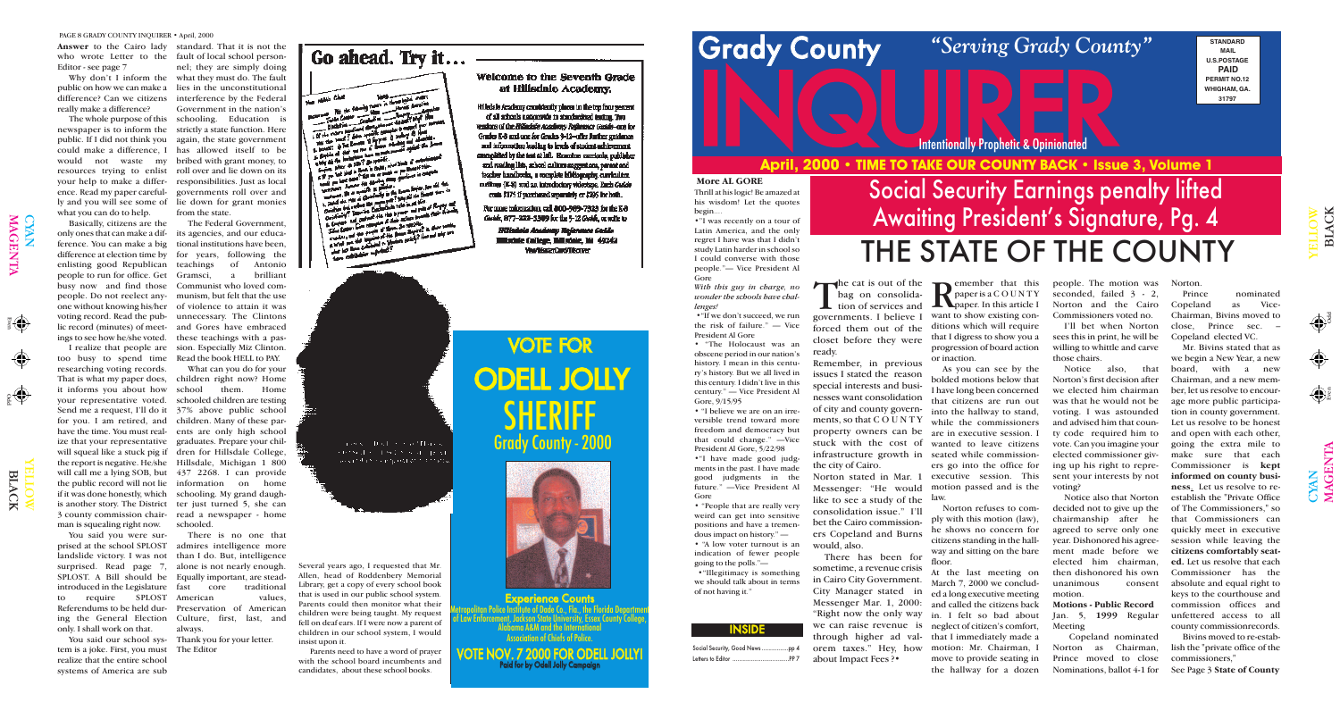Odd Even

Odd

 $\bigoplus$ 

 $\bigcirc$ YAN MAG

 $\overline{\mathbf{r}}$  $\mathsf{Z}% _{0}\!\left( \mathcal{M}\right) \equiv\mathcal{M}\!\left( \mathcal{M}\right)$  $\boldsymbol{\Xi}$ 

YE  $\exists$  $\mathbf{\Omega}$ 

 $\exists$ O  $\blacktriangleright$ 

LAC

 $\overline{\mathsf{x}}$ 

YAN

MAG

 $\overline{\mathbf{E}}$  ${\bf Z}$  $\blacktriangleright$ 

> YE  $\blacksquare$ L O W

 $\Xi$ 

# **INQUE DE COUNTY BACK : ISSUE COUNTY BACK : ISSUE April, 2000 • TIME TO TAKE OUR COUNTY BACK • Issue 3, Volume 1**

LAC

K

 $\bigcap$ 

### *"Serving Grady County"*

#### Intentionally Prophetic & Opinionated

| <b>INSIDE</b>                  |
|--------------------------------|
| Social Security, Good Newspp 4 |
|                                |

### VOTE FOR ODELL JOLLY SHERIFI Grady County - 2000



The cat is out of the bag on consolida-**L** tion of services and governments. I believe I forced them out of the closet before they were ready.

Experience Counts Metropolitan Police Institute of Dade Co., Fla., the Florida Department of Law Enforcement, Jackson State University, Essex County College, Alabama A&M and the International Association of Chiefs of Police.

VOTE NOV. 7 2000 FOR ODELL JOLLY! Paid for by Odell Jolly Campaign



**STANDARD MAIL U.S.POSTAGE PAID PERMIT NO.12 WHIGHAM, GA. 31797**

**C**emember that this paper is a C O U N T Y **L L paper**. In this article I want to show existing conditions which will require that I digress to show you a progression of board action or inaction.

Remember, in previous issues I stated the reason special interests and businesses want consolidation of city and county governments, so that C O U N T Y property owners can be stuck with the cost of infrastructure growth in seated while commissionthe city of Cairo.

Norton stated in Mar. 1 Messenger: "He would like to see a study of the consolidation issue." I'll bet the Cairo commissioners Copeland and Burns would, also.

There has been for sometime, a revenue crisis in Cairo City Government. City Manager stated in Messenger Mar. 1, 2000: "Right now the only way we can raise revenue is neglect of citizen's comfort, through higher ad val-that I immediately made a orem taxes." Hey, how motion: Mr. Chairman, I about Impact Fees ?•

### Social Security Earnings penalty lifted Awaiting President's Signature, Pg. 4 THE STATE OF THE COUNTY

As you can see by the bolded motions below that I have long been concerned that citizens are run out into the hallway to stand, while the commissioners are in executive session. I wanted to leave citizens ers go into the office for executive session. This motion passed and is the law.

Norton refuses to comply with this motion (law), he shows no concern for citizens standing in the hallway and sitting on the bare floor.

At the last meeting on March 7, 2000 we concluded a long executive meeting and called the citizens back in. I felt so bad about move to provide seating in the hallway for a dozen

people. The motion was Norton. seconded, failed 3 - 2, Norton and the Cairo Commissioners voted no.

I'll bet when Norton sees this in print, he will be willing to whittle and carve those chairs.

Notice also, that Norton's first decision after we elected him chairman was that he would not be voting. I was astounded and advised him that county code required him to vote. Can you imagine your elected commissioner giving up his right to represent your interests by not voting?

Notice also that Norton decided not to give up the chairmanship after he agreed to serve only one year. Dishonored his agreement made before we elected him chairman, then dishonored his own unanimous consent motion.

I realize that people are sion. Especially Miz Clinton. The Federal Government, of Antonio a brilliant

> **Motions - Public Record** Jan. 5, **1999** Regular Meeting

Copeland nominated Norton as Chairman, Prince moved to close Nominations, ballot 4-1 for

Prince nominated Copeland as Vice-Chairman, Bivins moved to close, Prince sec. – Copeland elected VC. Mr. Bivins stated that as

we begin a New Year, a new board, with a new Chairman, and a new member, let us resolve to encourage more public participation in county government. Let us resolve to be honest and open with each other, going the extra mile to make sure that each Commissioner is **kept informed on county business**. Let us resolve to reestablish the "Private Office of The Commissioners," so that Commissioners can quickly meet in executive session while leaving the **citizens comfortably seated.** Let us resolve that each Commissioner has the absolute and equal right to keys to the courthouse and commission offices and unfettered access to all

county commissionrecords.

Bivins moved to re-establish the "private office of the commissioners,"

See Page 3 **State of County**

#### **More AL GORE**

Thrill at his logic! Be amazed at his wisdom! Let the quotes

•"I was recently on a tour of Latin America, and the only regret I have was that I didn't study Latin harder in school so I could converse with those people."— Vice President Al

#### *With this guy in charge, no wonder the schools have chal-*

•"If we don't succeed, we run the risk of failure." — Vice President Al Gore

# begin.... Gore *lenges!* Gore

### **Grady County**

• "The Holocaust was an obscene period in our nation's history. I mean in this century's history. But we all lived in this century. I didn't live in this century." — Vice President Al Gore, 9/15/95

• "I believe we are on an irreversible trend toward more freedom and democracy but that could change." —Vice President Al Gore, 5/22/98

•"I have made good judgments in the past. I have made good judgments in the future." —Vice President Al

• "People that are really very weird can get into sensitive positions and have a tremendous impact on history." — • "A low voter turnout is an indication of fewer people going to the polls."—

•"Illegitimacy is something we should talk about in terms of not having it."

**Answer** to the Cairo lady who wrote Letter to the Editor - see page 7

Why don't I inform the difference? Can we citizens really make a difference?

The whole purpose of this newspaper is to inform the public. If I did not think you could make a difference, I would not waste my bribed with grant money, to resources trying to enlist your help to make a difference. Read my paper carefully and you will see some of lie down for grant monies what you can do to help.

too busy to spend time Read the book HELL to PAY. researching voting records. That is what my paper does, children right now? Home it informs you about how your representative voted. Send me a request, I'll do it for you. I am retired, and have the time. You must real-ents are only high school ize that your representative graduates. Prepare your chilwill squeal like a stuck pig if dren for Hillsdale College, the report is negative. He/she Hillsdale, Michigan 1 800 will call me a lying SOB, but 437 2268. I can provide the public record will not lie information on home if it was done honestly, which is another story. The District ter just turned 5, she can 3 county commission chairman is squealing right now.

public on how we can make a lies in the unconstitutional standard. That it is not the fault of local school personnel; they are simply doing what they must do. The fault interference by the Federal Government in the nation's schooling. Education is strictly a state function. Here again, the state government has allowed itself to be roll over and lie down on its responsibilities. Just as local governments roll over and from the state.

You said you were surprised at the school SPLOST landslide victory. I was not surprised. Read page 7, SPLOST. A Bill should be Equally important, are steadintroduced in the Legislature to require SPLOST Referendums to be held during the General Election only. I shall work on that.

Basically, citizens are the only ones that can make a dif-its agencies, and our educaference. You can make a big tional institutions have been, difference at election time by for years, following the enlisting good Republican people to run for office. Get busy now and find those Communist who loved compeople. Do not reelect any-munism, but felt that the use one without knowing his/her of violence to attain it was voting record. Read the pub-unnecessary. The Clintons lic record (minutes) of meet-and Gores have embraced ings to see how he/she voted. these teachings with a pas-

tem is a joke. First, you must realize that the entire school systems of America are sub

You said our school sys-Thank you for your letter. The Editor

### Go ahead. Try it...

كامل وللقارضة d the first sea in the first sea<br>http://www.fire.com/search.com/search.com<br>http://www.fire.com/search.com/search.com<br>http://www.fire.com/search.com/search.com/search.com<br>http://www.fire.com/search.com/search.com/search.com e Tarrent and Sells<br>Book is their side of the Book of Sells<br>(right an armaid of the Book is confir 

#### Welcome to the Seventh Grade at Hillsdale Academy.

Hilledale Academy consistently places in the top four percent of all achools nationwide in standardingl testing. Two ressions of the Hilladele Academy Reference Guide-one for Grades E-8 and one for Grades 9-12-offer Juriser gettimos and information leading to levels of student achievement complèted by the test at left. Resentee contents, publisher and reading lists, school culture suggestions, parent and teacher handbooks, a complete bibliography, curriculum. outlines (I-8) and an introductory videotape. Each Guide come \$175 if parchased separately or \$295 for both.

For more information, call 800-989-7323 for the K-8 Godde, 877-222-5309 for the 9-12 Godde, or write to

> **Hilishele Academy Reference Guide** Milathie College, Milathie, Mil. 49242 **VerAfasterCard/Tiboneer**

alons of Distance and Harva would in complete the triate.

What can you do for your school them. Home schooled children are testing 37% above public school children. Many of these parschooling. My grand daughread a newspaper - home schooled.

There is no one that admires intelligence more than I do. But, intelligence alone is not nearly enough. core traditional American values, Preservation of American Culture, first, last, and always.

Several years ago, I requested that Mr. Allen, head of Roddenbery Memorial Library, get a copy of every school book that is used in our public school system. Parents could then monitor what their children were being taught. My request fell on deaf ears. If I were now a parent of children in our school system, I would insist upon it.

Parents need to have a word of prayer with the school board incumbents and candidates, about these school books.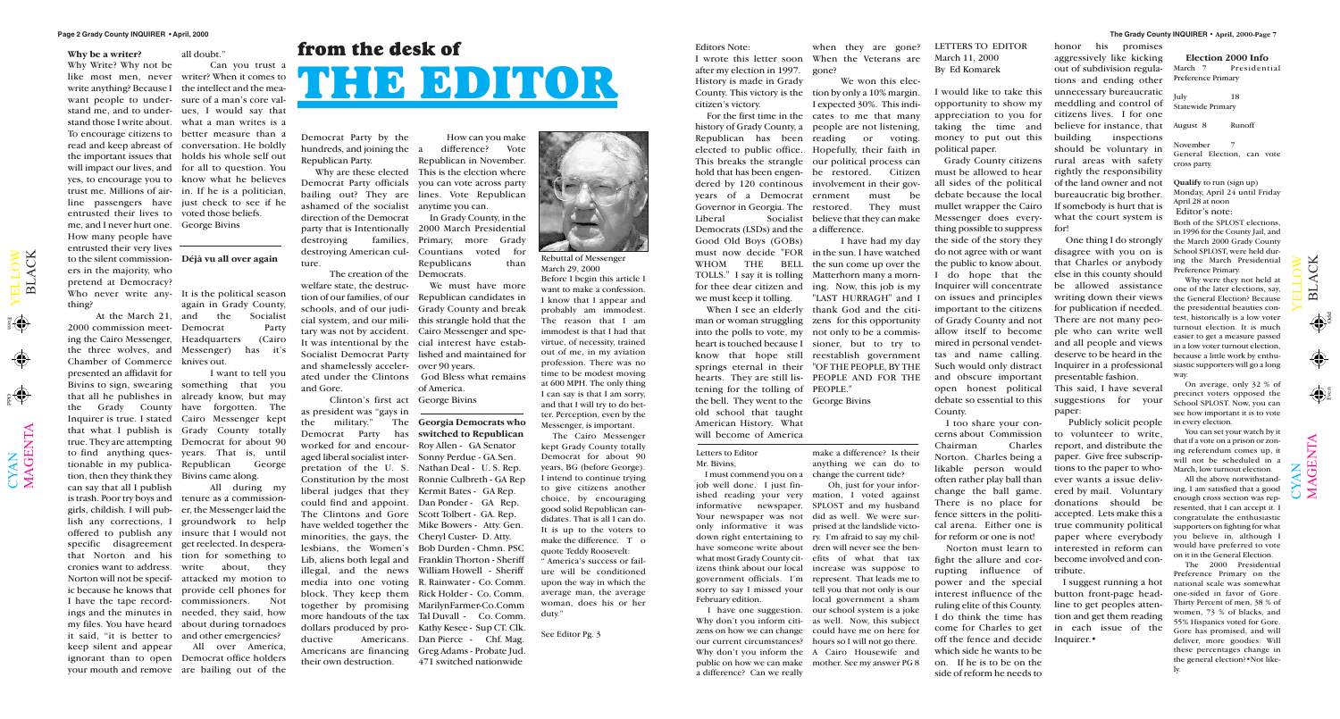YAN

 $\blacktriangleright$  $\blacksquare$  $\overline{\phantom{0}}$  $\Box$  $\bigcirc$  $\geqslant$   $\mathbf{\Xi}$  $\overline{\phantom{0}}$  $\blacktriangleleft$ C  $\boxtimes$ 

a)

 $\bigoplus$ 

**Election 2000 Info**<br>March 7 President

YAN

 $\blacktriangleright$  $\blacksquare$  $\overline{\phantom{0}}$  $\Box$  $\bigcirc$  $\geqslant$ 

 $\spadesuit$ 

County. This victory is the tion by only a 10% margin. For the first time in the cates to me that many history of Grady County, a people are not listening, Republican has been reading or voting. elected to public office. Hopefully, their faith in This breaks the strangle our political process can hold that has been engen-be restored. Citizen dered by 120 continous involvement in their gov-Governor in Georgia. The restored. They must Liberal Socialist believe that they can make We won this elec-I expected 30%. This indimust be

Odd Even

 $\mathbf \Xi$  $\overline{\phantom{0}}$  $\blacktriangleleft$ C  $\overline{\mathsf{X}}$ 

### **from the desk of THE EDITOR**

Editors Note:

after my election in 1997. History is made in Grady citizen's victory.

years of a Democrat Democrats (LSDs) and the a difference. Good Old Boys (GOBs)

I wrote this letter soon When the Veterans are when they are gone? gone?

we must keep it tolling.

November General Election, can vote cross party. **Qualify** to run (sign up) Monday, April 24 until Friday April 28 at noon Editor's note: Both of the SPLOST elections,

tening for the tolling of PEOPLE." the bell. They went to the George Bivins old school that taught American History. What will become of America

must now decide "FOR in the sun. I have watched WHOM THE BELL the sun come up over the TOLLS." I say it is tolling Matterhorn many a mornfor thee dear citizen and ing. Now, this job is my When I see an elderly thank God and the citiman or woman struggling zens for this opportunity into the polls to vote, my not only to be a commisheart is touched because I sioner, but to try to know that hope still reestablish government springs eternal in their "OF THE PEOPLE, BY THE hearts. They are still lis-PEOPLE AND FOR THE I have had my day "LAST HURRAGH" and I

Preference Primary

July 18 Statewide Primary

August 8 Runoff

Presidential

in 1996 for the County Jail, and the March 2000 Grady County School SPLOST, were held during the March Presidential Preference Primary.

Why were they not held at one of the later elections, say, the General Election? Because the presidential beauties contest, historically is a low voter turnout election. It is much easier to get a measure passed in a low voter turnout election, because a little work by enthusiastic supporters will go a long way.

On average, only 32 % of precinct voters opposed the School SPLOST. Now, you can see how important it is to vote in every election.

You can set your watch by it that if a vote on a prison or zoning referendum comes up, it will not be scheduled in a March, low turnout election.

All the above notwithstanding, I am satisfied that a good enough cross section was represented, that I can accept it. I congratulate the enthusiastic supporters on fighting for what you believe in, although I would have preferred to vote on it in the General Election.

 $\bigcup$ 

 $\boldsymbol{\Sigma}$  $\blacktriangleleft$ G $\blacksquare$  $\boldsymbol{\mathsf{Z}}$  $\bm{\mathsf{\Xi}}$ 

The 2000 Presidential Preference Primary on the national scale was somewhat one-sided in favor of Gore. Thirty Percent of men, 38 % of women, 73 % of blacks, and 55% Hispanics voted for Gore. Gore has promised, and will deliver, more goodies. Will these percentages change in the general election?•Not likely.

#### LETTERS TO EDITOR March 11, 2000 By Ed Komarek

I would like to take this opportunity to show my appreciation to you for taking the time and money to put out this political paper.

destroying American cul-Countians voted for In Grady County, in the 2000 March Presidential Primary, more Grady Republicans than

Grady County citizens must be allowed to hear all sides of the political debate because the local mullet wrapper the Cairo Messenger does everything possible to suppress the side of the story they do not agree with or want the public to know about. I do hope that the Inquirer will concentrate on issues and principles important to the citizens of Grady County and not allow itself to become mired in personal vendettas and name calling. Such would only distract and obscure important open honest political debate so essential to this County.

I too share your concerns about Commission Chairman Charles Norton. Charles being a likable person would often rather play ball than change the ball game. There is no place for fence sitters in the political arena. Either one is for reform or one is not!

Norton must learn to fight the allure and corrupting influence of power and the special interest influence of the ruling elite of this County. I do think the time has come for Charles to get off the fence and decide which side he wants to be on. If he is to be on the side of reform he needs to

honor his promises aggressively like kicking out of subdivision regulations and ending other unnecessary bureaucratic meddling and control of citizens lives. I for one believe for instance, that building inspections should be voluntary in rural areas with safety rightly the responsibility of the land owner and not bureaucratic big brother. If somebody is hurt that is what the court system is for!

One thing I do strongly disagree with you on is that Charles or anybody else in this county should be allowed assistance writing down their views for publication if needed. There are not many people who can write well and all people and views deserve to be heard in the Inquirer in a professional presentable fashion.

again in Grady County, the Socialist

> This said, I have several suggestions for your paper:

Publicly solicit people to volunteer to write, report, and distribute the paper. Give free subscriptions to the paper to whoever wants a issue delivered by mail. Voluntary donations should be accepted. Lets make this a true community political paper where everybody interested in reform can become involved and contribute.

At the March 21, and 2000 commission meet-Democrat Party ing the Cairo Messenger, Headquarters (Cairo the three wolves, and Messenger) has it's Chamber of Commerce knives out. presented an affidavit for Bivins to sign, swearing something that you that all he publishes in already know, but may the Grady County have forgotten. The Inquirer is true. I stated Cairo Messenger kept that what I publish is Grady County totally true. They are attempting Democrat for about 90 to find anything ques-years. That is, until tionable in my publica-Republican George tion, then they think they Bivins came along. can say that all I publish is trash. Poor try boys and tenure as a commissiongirls, childish. I will pub-er, the Messenger laid the lish any corrections, I groundwork to help offered to publish any insure that I would not specific disagreement get reelected. In desperathat Norton and his tion for something to cronies want to address. write about, they Norton will not be specif-attacked my motion to ic because he knows that provide cell phones for I have the tape record-commissioners. Not ings and the minutes in needed, they said, how my files. You have heard about during tornadoes it said, "it is better to and other emergencies? keep silent and appear All over America, ignorant than to open Democrat office holders your mouth and remove are bailing out of the

 $\bigcup$ 

 $\boldsymbol{\Sigma}$  $\blacktriangleleft$ G  $\dot{\mathbf{H}}$  $\bm{\mathsf{Z}}$  $\boldsymbol{\mathsf{\Xi}}$ 

> I suggest running a hot button front-page headline to get peoples attention and get them reading in each issue of the Inquirer.•

Letters to Editor Mr. Bivins,

job well done. I just finished reading your very Your newspaper was not only informative it was February edition.

I must commend you on a change the current tide? make a difference? Is their anything we can do to

informative newspaper. SPLOST and my husband down right entertaining to ry. I'm afraid to say my chilhave someone write about dren will never see the benwhat most Grady County cit-efits of what that tax izens think about our local increase was suppose to government officials. I'm represent. That leads me to sorry to say I missed your tell you that not only is our I have one suggestion. our school system is a joke Why don't you inform citi-as well. Now, this subject zens on how we can change could have me on here for our current circumstances? hours so I will not go there. Why don't you inform the A Cairo Housewife and public on how we can make mother. See my answer PG 8 Oh, just for your information, I voted against did as well. We were surprised at the landslide victolocal government a sham

a difference? Can we really

Democrat Party by the hundreds, and joining the a Republican Party.

ashamed of the socialist anytime you can. direction of the Democrat party that is Intentionally destroying families, ture.

The creation of the Democrats. welfare state, the destrucand shamelessly acceler-over 90 years. and Gore.

Why are these elected This is the election where How can you make difference? Vote Republican in November.

Democrat Party officials you can vote across party bailing out? They are lines. Vote Republican

Clinton's first act George Bivins as president was "gays in Democrat Party has **switched to Republican** worked for and encour-Roy Allen - GA Senator aged liberal socialist inter-Sonny Perdue - GA.Sen. pretation of the U.S. Nathan Deal - U.S. Rep. liberal judges that they Kermit Bates - GA Rep. could find and appoint. Dan Ponder - GA Rep. The Clintons and Gore Scott Tolbert - GA. Rep. have welded together the Mike Bowers - Atty. Gen. minorities, the gays, the Cheryl Custer- D. Atty. illegal, and the news William Howell - Sheriff ductive Americans. Americans are financing their own destruction.

tion of our families, of our Republican candidates in schools, and of our judi-Grady County and break cial system, and our mili-this strangle hold that the tary was not by accident. Cairo Messenger and spe-It was intentional by the cial interest have estab-Socialist Democrat Party lished and maintained for We must have more

ated under the Clintons God Bless what remains of America.

the military." The **Georgia Democrats who** Constitution by the most Ronnie Culbreth - GA Rep lesbians, the Women's Bob Durden - Chmn. PSC Lib, aliens both legal and Franklin Thorton - Sheriff media into one voting R. Rainwater - Co. Comm. block. They keep them Rick Holder - Co. Comm. together by promising MarilynFarmer-Co.Comm more handouts of the tax Tal Duvall - Co. Comm. dollars produced by pro-Kathy Kesee - Sup CT. Clk. Dan Pierce - Chf. Mag. Greg Adams - Probate Jud. 471 switched nationwide



#### **Why be a writer?**

Why Write? Why not be like most men, never writer? When it comes to write anything? Because I the intellect and the meawant people to under-sure of a man's core valstand me, and to under-ues, I would say that stand those I write about. what a man writes is a To encourage citizens to better measure than a read and keep abreast of conversation. He boldly the important issues that holds his whole self out will impact our lives, and for all to question. You yes, to encourage you to know what he believes trust me. Millions of air-in. If he is a politician, line passengers have just check to see if he entrusted their lives to voted those beliefs. me, and I never hurt one. George Bivins How many people have entrusted their very lives to the silent commission-**Déjà vu all over again** ers in the majority, who pretend at Democracy? Who never write any-It is the political season thing?

all doubt." Can you trust a

I want to tell you

All during my

Rebuttal of Messenger March 29, 2000 Before I begin this article I want to make a confession I know that I appear and probably am immodest. The reason that I am immodest is that I had that virtue, of necessity, trained out of me, in my aviation profession. There was no time to be modest moving at 600 MPH. The only thing I can say is that I am sorry, and that I will try to do better. Perception, even by the Messenger, is important.

The Cairo Messenger kept Grady County totally Democrat for about 90 years, BG (before George). I intend to continue trying to give citizens another choice, by encouraging good solid Republican candidates. That is all I can do. It is up to the voters to make the difference. T o quote Teddy Roosevelt:

" America's success or failure will be conditioned upon the way in which the average man, the average woman, does his or her duty."

See Editor Pg. 3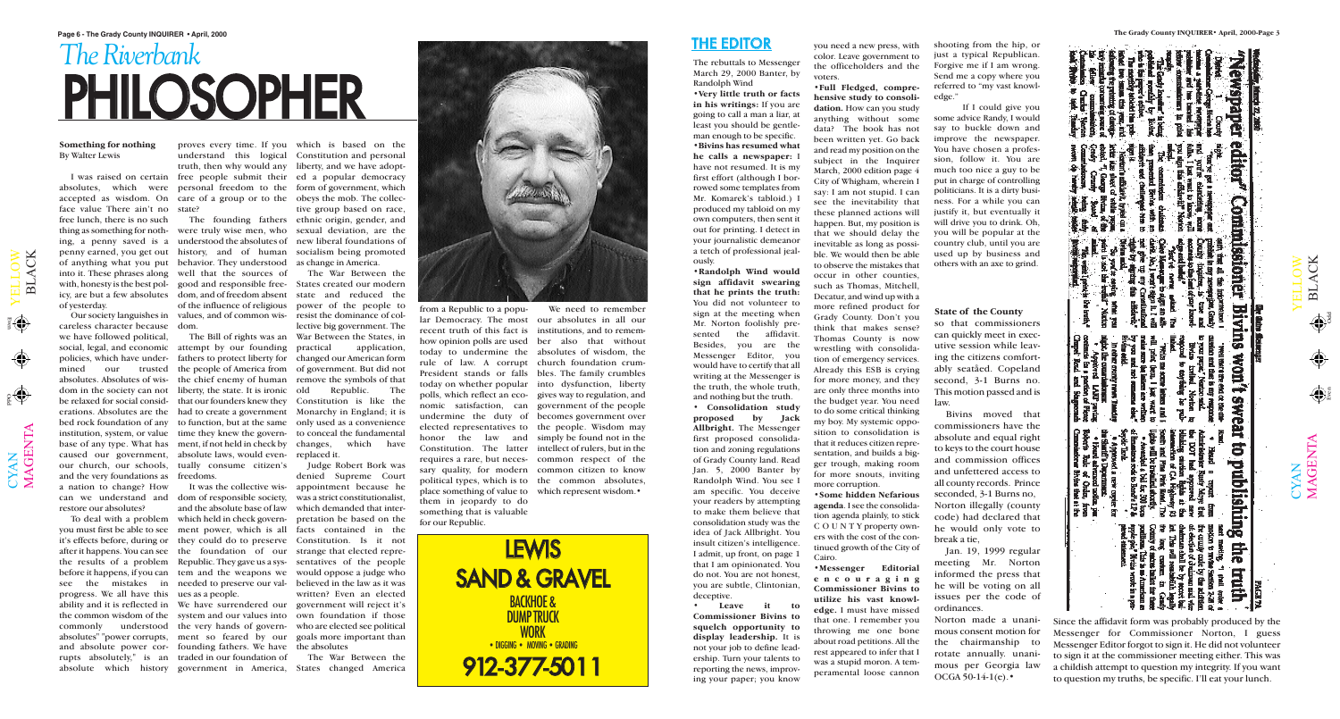YAN

 $\blacktriangleright$  $\blacksquare$  $\overline{\phantom{0}}$  $\Box$  $\bigcirc$  $\geqslant$ 

 $\Theta$ 

Odd Even

 $\mathbf \Xi$  $\overline{\phantom{0}}$  $\blacktriangleleft$ C  $\overline{\mathsf{X}}$ 

### *The Riverbank* PHILOSOPHER



#### THE EDITOR

#### **State of the County**

so that commissioners can quickly meet in executive session while leaving the citizens comfortably seatåed. Copeland second, 3-1 Burns no. This motion passed and is law.

Norton made a unanimous consent motion for the chairmanship to rotate annually. unanimous per Georgia law  $OCGA 50-14-1(e).$ 

Bivins moved that commissioners have the absolute and equal right to keys to the court house and commission offices and unfettered access to all county records. Prince seconded, 3-1 Burns no, Norton illegally (county code) had declared that he would only vote to break a tie,

with, honesty is the best pol-good and responsible free-States created our modern policies, which have under-fathers to protect liberty for changed our American form mined our trusted the people of America from of government. But did not bed rock foundation of any to function, but at the same only used as a convenience The Bill of rights was an War Between the States, in The War Between the state and reduced the power of the people to resist the dominance of collective big government. The application, remove the symbols of that Republic. The Constitution is like the Monarchy in England; it is which have

> Jan. 19, 1999 regular meeting Mr. Norton informed the press that he will be voting on all issues per the code of ordinances.

**Something for nothing** By Walter Lewis

absolutes, which were personal freedom to the form of government, which accepted as wisdom. On care of a group or to the obeys the mob. The collecface value There ain't no state? free lunch, there is no such penny earned, you get out history, and of human into it. These phrases along well that the sources of icy, are but a few absolutes dom, and of freedom absent of yesterday.

Our society languishes in careless character because dom. we have followed political, social, legal, and economic attempt by our founding absolutes. Absolutes of wis-the chief enemy of human dom in the society can not liberty, the state. It is ironic be relaxed for social consid-that our founders knew they erations. Absolutes are the had to create a government institution, system, or value time they knew the govern-to conceal the fundamental base of any type. What has ment, if not held in check by caused our government, absolute laws, would even-replaced it. our church, our schools, and the very foundations as freedoms. a nation to change? How can we understand and restore our absolutes?

 $\bigcup$ 

 $\boldsymbol{\Sigma}$  $\blacktriangleleft$ G  $\dot{\mathbf{H}}$  $\bm{\mathsf{Z}}$  $\boldsymbol{\mathsf{\Xi}}$ 

thing as something for noth-were truly wise men, who sexual deviation, are the ing, a penny saved is a understood the absolutes of new liberal foundations of of anything what you put behavior. They understood as change in America. of the influence of religious values, and of common wis-

I was raised on certain free people submit their ed a popular democracy proves every time. If you which is based on the understand this logical Constitution and personal truth, then why would any liberty, and we have adopt-The founding fathers ethnic origin, gender, and tive group based on race, socialism being promoted

To deal with a problem which held in check governdom of responsible society, and the absolute base of law

tually consume citizen's

you must first be able to see ment power, which is all facts contained in the it's effects before, during or they could do to preserve Constitution. Is it not after it happens. You can see the foundation of our strange that elected reprethe results of a problem Republic. They gave us a sys-sentatives of the people before it happens, if you can tem and the weapons we would oppose a judge who see the mistakes in needed to preserve our val-believed in the law as it was progress. We all have this ues as a people. ability and it is reflected in We have surrendered our government will reject it's the common wisdom of the system and our values into own foundation if those commonly understood the very hands of govern-who are elected see political absolutes" "power corrupts, ment so feared by our goals more important than and absolute power cor-founding fathers. We have the absolutes rupts absolutely," is an traded in our foundation of absolute which history government in America, States changed America

It was the collective wis-appointment because he Judge Robert Bork was denied Supreme Court was a strict constitutionalist, which demanded that interpretation be based on the written? Even an elected

The War Between the



today to undermine the absolutes of wisdom, the rule of law. A corrupt church foundation crum-President stands or falls bles. The family crumbles today on whether popular into dysfunction, liberty polls, which reflect an eco-gives way to regulation, and nomic satisfaction, can government of the people undermine the duty of becomes government over elected representatives to the people. Wisdom may honor the law and simply be found not in the Constitution. The latter intellect of rulers, but in the requires a rare, but neces-common respect of the sary quality, for modern common citizen to know political types, which is to the common absolutes, place something of value to which represent wisdom. them in jeopardy to do something that is valuable for our Republic.

We need to remember

ews paper editor **Continussioner**  $\geqslant$  $\bigcirc$  $\Box$  $\overline{\phantom{0}}$  $\blacksquare$ Bivi  $\blacktriangleright$ ΪŔ **Won't SWear** 5 publishing YAN  $\bigcup$ 묺 再中

 $\boldsymbol{\Sigma}$  $\blacktriangleleft$ G  $\dot{\mathbf{H}}$  $\boldsymbol{\mathsf{Z}}$  $\bm{\mathsf{\Xi}}$ 

 $\mathbf{\Xi}$  $\overline{\phantom{0}}$  $\blacktriangleleft$ C  $\overline{\mathsf{K}}$ 

 $\bigoplus$ 

 $\bigoplus$ 

Since the affidavit form was probably produced by the Messenger for Commissioner Norton, I guess Messenger Editor forgot to sign it. He did not volunteer to sign it at the commissioner meeting either. This was a childish attempt to question my integrity. If you want to question my truths, be specific. I'll eat your lunch.

The rebuttals to Messenger March 29, 2000 Banter, by Randolph Wind

**•Very little truth or facts in his writings:** If you are going to call a man a liar, at least you should be gentleman enough to be specific. **•Bivins has resumed what**

**he calls a newspaper:** I have not resumed. It is my first effort (although I borrowed some templates from Mr. Komarek's tabloid.) I produced my tabloid on my own computers, then sent it out for printing. I detect in your journalistic demeanor a tetch of professional jeal-

**•Randolph Wind would sign affidavit swearing that he prints the truth:** You did not volunteer to sign at the meeting when Mr. Norton foolishly presented the affidavit. Besides, you are the Messenger Editor, you would have to certify that all writing at the Messenger is the truth, the whole truth, and nothing but the truth.

ously. deceptive.

**• Consolidation study proposed by Jack Allbright.** The Messenger first proposed consolidation and zoning regulations of Grady County land. Read Jan. 5, 2000 Banter by Randolph Wind. You see I am specific. You deceive your readers by attempting to make them believe that consolidation study was the idea of Jack Allbright. You insult citizen's intelligence. I admit, up front, on page 1 that I am opinionated. You do not. You are not honest, you are subtle, Clintonian,

**• Leave it to Commissioner Bivins to squelch opportunity to display leadership.** It is not your job to define leadership. Turn your talents to reporting the news, improving your paper; you know

you need a new press, with color. Leave government to the officeholders and the voters.

**•Full Fledged, comprehensive study to consolidation.** How can you study anything without some data? The book has not been written yet. Go back and read my position on the subject in the Inquirer March, 2000 edition page 4 City of Whigham, wherein I say: I am not stupid. I can see the inevitability that these planned actions will happen. But, my position is that we should delay the inevitable as long as possible. We would then be able to observe the mistakes that occur in other counties, such as Thomas, Mitchell, Decatur, and wind up with a more refined product for Grady County. Don't you think that makes sense? Thomas County is now wrestling with consolidation of emergency services. Already this ESB is crying for more money, and they are only three months into the budget year. You need to do some critical thinking my boy. My systemic opposition to consolidation is that it reduces citizen representation, and builds a bigger trough, making room for more snouts, inviting more corruption.

**•Some hidden Nefarious agenda**. I see the consolidation agenda plainly, to stick C O U N T Y property owners with the cost of the continued growth of the City of Cairo.

**•Messenger Editorial encouraging Commissioner Bivins to utilize his vast knowledge.** I must have missed that one. I remember you throwing me one bone about road petitions. All the rest appeared to infer that I was a stupid moron. A temperamental loose cannon

shooting from the hip, or just a typical Republican. Forgive me if I am wrong. Send me a copy where you referred to "my vast knowledge."

If I could give you some advice Randy, I would say to buckle down and improve the newspaper. You have chosen a profession, follow it. You are much too nice a guy to be put in charge of controlling politicians. It is a dirty business. For a while you can justify it, but eventually it will drive you to drink. Oh, you will be popular at the country club, until you are used up by business and others with an axe to grind.